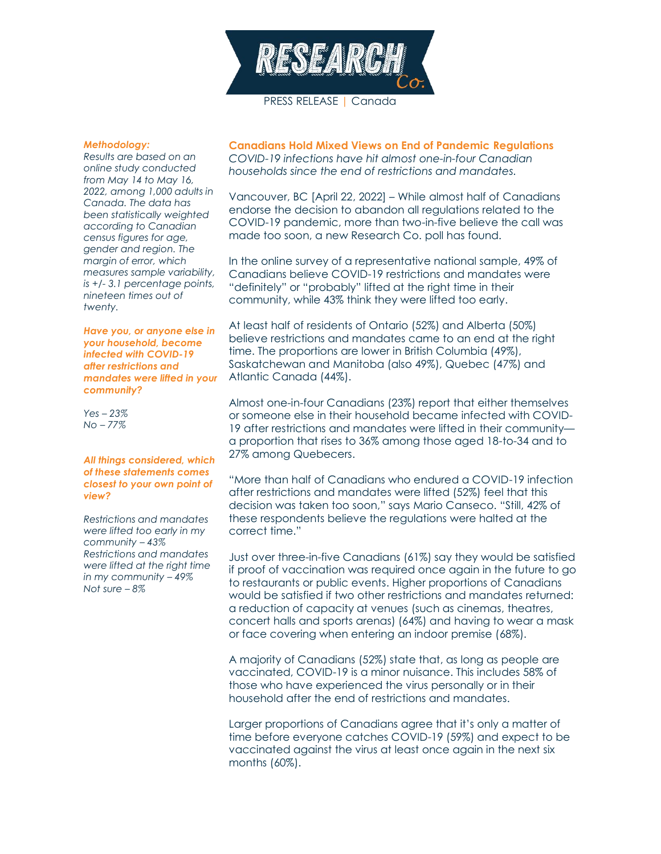

PRESS RELEASE | Canada

## *Methodology:*

*Results are based on an online study conducted from May 14 to May 16, 2022, among 1,000 adults in Canada. The data has been statistically weighted according to Canadian census figures for age, gender and region. The margin of error, which measures sample variability, is +/- 3.1 percentage points, nineteen times out of twenty.*

*Have you, or anyone else in your household, become infected with COVID-19 after restrictions and mandates were lifted in your community?*

*Yes – 23% No – 77%*

## *All things considered, which of these statements comes closest to your own point of view?*

*Restrictions and mandates were lifted too early in my community – 43% Restrictions and mandates were lifted at the right time in my community – 49% Not sure – 8%*

**Canadians Hold Mixed Views on End of Pandemic Regulations** *COVID-19 infections have hit almost one-in-four Canadian households since the end of restrictions and mandates.*

Vancouver, BC [April 22, 2022] – While almost half of Canadians endorse the decision to abandon all regulations related to the COVID-19 pandemic, more than two-in-five believe the call was made too soon, a new Research Co. poll has found.

In the online survey of a representative national sample, 49% of Canadians believe COVID-19 restrictions and mandates were "definitely" or "probably" lifted at the right time in their community, while 43% think they were lifted too early.

At least half of residents of Ontario (52%) and Alberta (50%) believe restrictions and mandates came to an end at the right time. The proportions are lower in British Columbia (49%), Saskatchewan and Manitoba (also 49%), Quebec (47%) and Atlantic Canada (44%).

Almost one-in-four Canadians (23%) report that either themselves or someone else in their household became infected with COVID-19 after restrictions and mandates were lifted in their community a proportion that rises to 36% among those aged 18-to-34 and to 27% among Quebecers.

"More than half of Canadians who endured a COVID-19 infection after restrictions and mandates were lifted (52%) feel that this decision was taken too soon," says Mario Canseco. "Still, 42% of these respondents believe the regulations were halted at the correct time."

Just over three-in-five Canadians (61%) say they would be satisfied if proof of vaccination was required once again in the future to go to restaurants or public events. Higher proportions of Canadians would be satisfied if two other restrictions and mandates returned: a reduction of capacity at venues (such as cinemas, theatres, concert halls and sports arenas) (64%) and having to wear a mask or face covering when entering an indoor premise (68%).

A majority of Canadians (52%) state that, as long as people are vaccinated, COVID-19 is a minor nuisance. This includes 58% of those who have experienced the virus personally or in their household after the end of restrictions and mandates.

Larger proportions of Canadians agree that it's only a matter of time before everyone catches COVID-19 (59%) and expect to be vaccinated against the virus at least once again in the next six months (60%).